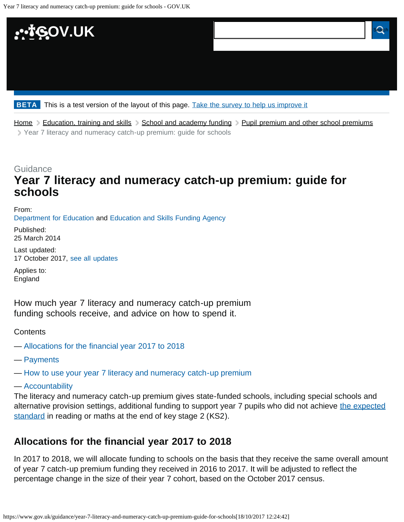<span id="page-0-1"></span>

[Home](https://www.gov.uk/) > [Education, training and skills](https://www.gov.uk/education) > [School and academy funding](https://www.gov.uk/education/school-and-academy-funding) > [Pupil premium and other school premiums](https://www.gov.uk/education/pupil-premium-and-other-school-premiums) [Year 7 literacy and numeracy catch-up premium: guide for schools](#page-2-0)

## **Guidance Year 7 literacy and numeracy catch-up premium: guide for schools**

From: [Department for Education](https://www.gov.uk/government/organisations/department-for-education) and [Education and Skills Funding Agency](https://www.gov.uk/government/organisations/education-and-skills-funding-agency)

Published: 25 March 2014

Last updated: 17 October 2017, [see all updates](#page-2-1)

Applies to: England

How much year 7 literacy and numeracy catch-up premium funding schools receive, and advice on how to spend it.

**Contents** 

- — [Allocations for the financial year 2017 to 2018](#page-0-0)
- — [Payments](#page-1-0)

— [How to use your year 7 literacy and numeracy catch-up premium](#page-1-1)

— [Accountability](#page-2-2)

The literacy and numeracy catch-up premium gives state-funded schools, including special schools and alternative provision settings, additional funding to support year 7 pupils who did not achieve [the expected](https://www.gov.uk/guidance/scaled-scores-at-key-stage-2) [standard](https://www.gov.uk/guidance/scaled-scores-at-key-stage-2) in reading or maths at the end of key stage 2 (KS2).

## <span id="page-0-0"></span>**Allocations for the financial year 2017 to 2018**

In 2017 to 2018, we will allocate funding to schools on the basis that they receive the same overall amount of year 7 catch-up premium funding they received in 2016 to 2017. It will be adjusted to reflect the percentage change in the size of their year 7 cohort, based on the October 2017 census.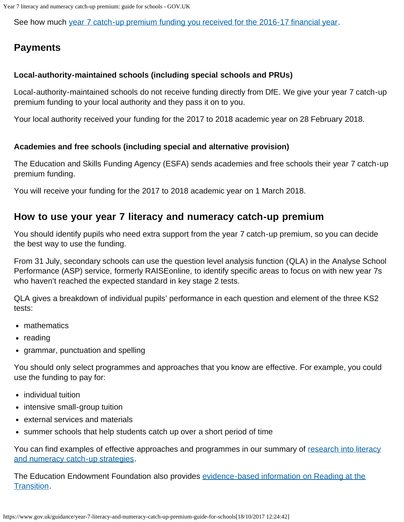Year 7 literacy and numeracy catch-up premium: guide for schools - GOV.UK

See how much [year 7 catch-up premium funding you received for the 2016-17 financial year.](https://www.gov.uk/government/publications/year-7-catch-up-premium-2016-to-2017-allocations)

## <span id="page-1-0"></span>**Payments**

#### **Local-authority-maintained schools (including special schools and PRUs)**

Local-authority-maintained schools do not receive funding directly from DfE. We give your year 7 catch-up premium funding to your local authority and they pass it on to you.

Your local authority received your funding for the 2017 to 2018 academic year on 28 February 2018.

#### **Academies and free schools (including special and alternative provision)**

The Education and Skills Funding Agency (ESFA) sends academies and free schools their year 7 catch-up premium funding.

You will receive your funding for the 2017 to 2018 academic year on 1 March 2018.

### <span id="page-1-1"></span>**How to use your year 7 literacy and numeracy catch-up premium**

You should identify pupils who need extra support from the year 7 catch-up premium, so you can decide the best way to use the funding.

From 31 July, secondary schools can use the question level analysis function (QLA) in the Analyse School Performance (ASP) service, formerly RAISEonline, to identify specific areas to focus on with new year 7s who haven't reached the expected standard in key stage 2 tests.

QLA gives a breakdown of individual pupils' performance in each question and element of the three KS2 tests:

- mathematics
- $\bullet$  reading
- grammar, punctuation and spelling

You should only select programmes and approaches that you know are effective. For example, you could use the funding to pay for:

- individual tuition
- intensive small-group tuition
- external services and materials
- summer schools that help students catch up over a short period of time

You can find examples of effective approaches and programmes in our summary of [research into literacy](https://www.gov.uk/government/publications/literacy-and-numeracy-catch-up-strategies) [and numeracy catch-up strategies](https://www.gov.uk/government/publications/literacy-and-numeracy-catch-up-strategies).

The Education Endowment Foundation also provides [evidence-based information on Reading at the](https://educationendowmentfoundation.org.uk/public/files/Publications/EEF_Interim_Evidence_Brief_ReadingaAtTheTransition.pdf) [Transition](https://educationendowmentfoundation.org.uk/public/files/Publications/EEF_Interim_Evidence_Brief_ReadingaAtTheTransition.pdf).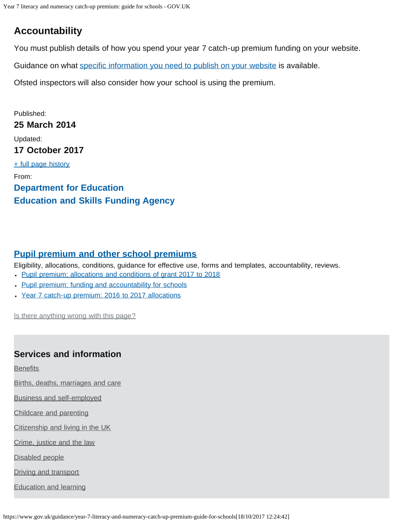# <span id="page-2-2"></span><span id="page-2-0"></span>**Accountability**

You must publish details of how you spend your year 7 catch-up premium funding on your website.

Guidance on what [specific information you need to publish on your website](https://www.gov.uk/what-maintained-schools-must-publish-online#year-7-literacy-and-numeracy-catch-up-premium) is available.

Ofsted inspectors will also consider how your school is using the premium.

<span id="page-2-1"></span>Published: **25 March 2014** Updated: **17 October 2017** [+ full page history](#page-0-1) From: **[Department for Education](https://www.gov.uk/government/organisations/department-for-education) [Education and Skills Funding Agency](https://www.gov.uk/government/organisations/education-and-skills-funding-agency)**

### **[Pupil premium and other school premiums](https://www.gov.uk/education/pupil-premium-and-other-school-premiums)**

Eligibility, allocations, conditions, guidance for effective use, forms and templates, accountability, reviews.

- [Pupil premium: allocations and conditions of grant 2017 to 2018](https://www.gov.uk/government/publications/pupil-premium-conditions-of-grant-2017-to-2018)
- . [Pupil premium: funding and accountability for schools](https://www.gov.uk/guidance/pupil-premium-information-for-schools-and-alternative-provision-settings)
- [Year 7 catch-up premium: 2016 to 2017 allocations](https://www.gov.uk/government/publications/year-7-catch-up-premium-2016-to-2017-allocations)

Is there anything wrong with this page?

### **Services and information**

**[Benefits](https://www.gov.uk/browse/benefits)** 

[Births, deaths, marriages and care](https://www.gov.uk/browse/births-deaths-marriages)

[Business and self-employed](https://www.gov.uk/browse/business)

[Childcare and parenting](https://www.gov.uk/browse/childcare-parenting)

[Citizenship and living in the UK](https://www.gov.uk/browse/citizenship)

[Crime, justice and the law](https://www.gov.uk/browse/justice)

[Disabled people](https://www.gov.uk/browse/disabilities)

[Driving and transport](https://www.gov.uk/browse/driving)

[Education and learning](https://www.gov.uk/browse/education)

https://www.gov.uk/guidance/year-7-literacy-and-numeracy-catch-up-premium-guide-for-schools[18/10/2017 12:24:42]